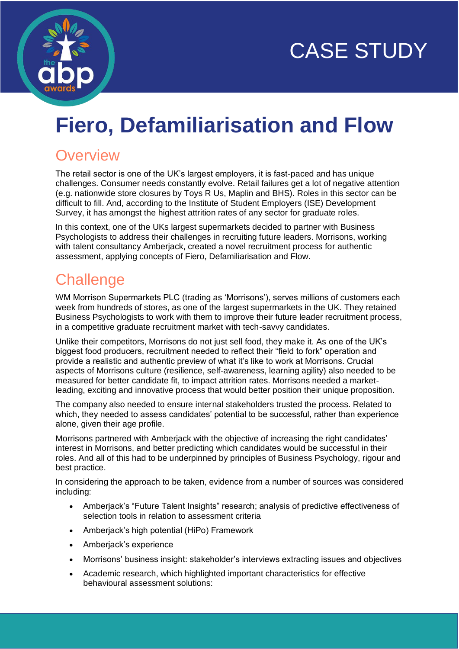



# **Fiero, Defamiliarisation and Flow**

# **Overview**

The retail sector is one of the UK's largest employers, it is fast-paced and has unique challenges. Consumer needs constantly evolve. Retail failures get a lot of negative attention (e.g. nationwide store closures by Toys R Us, Maplin and BHS). Roles in this sector can be difficult to fill. And, according to the Institute of Student Employers (ISE) Development Survey, it has amongst the highest attrition rates of any sector for graduate roles.

In this context, one of the UKs largest supermarkets decided to partner with Business Psychologists to address their challenges in recruiting future leaders. Morrisons, working with talent consultancy Amberjack, created a novel recruitment process for authentic assessment, applying concepts of Fiero, Defamiliarisation and Flow.

# **Challenge**

WM Morrison Supermarkets PLC (trading as 'Morrisons'), serves millions of customers each week from hundreds of stores, as one of the largest supermarkets in the UK. They retained Business Psychologists to work with them to improve their future leader recruitment process, in a competitive graduate recruitment market with tech-savvy candidates.

Unlike their competitors, Morrisons do not just sell food, they make it. As one of the UK's biggest food producers, recruitment needed to reflect their "field to fork" operation and provide a realistic and authentic preview of what it's like to work at Morrisons. Crucial aspects of Morrisons culture (resilience, self-awareness, learning agility) also needed to be measured for better candidate fit, to impact attrition rates. Morrisons needed a marketleading, exciting and innovative process that would better position their unique proposition.

The company also needed to ensure internal stakeholders trusted the process. Related to which, they needed to assess candidates' potential to be successful, rather than experience alone, given their age profile.

Morrisons partnered with Amberjack with the objective of increasing the right candidates' interest in Morrisons, and better predicting which candidates would be successful in their roles. And all of this had to be underpinned by principles of Business Psychology, rigour and best practice.

In considering the approach to be taken, evidence from a number of sources was considered including:

- Amberjack's "Future Talent Insights" research; analysis of predictive effectiveness of selection tools in relation to assessment criteria
- Amberjack's high potential (HiPo) Framework
- Amberjack's experience
- Morrisons' business insight: stakeholder's interviews extracting issues and objectives
- Academic research, which highlighted important characteristics for effective behavioural assessment solutions: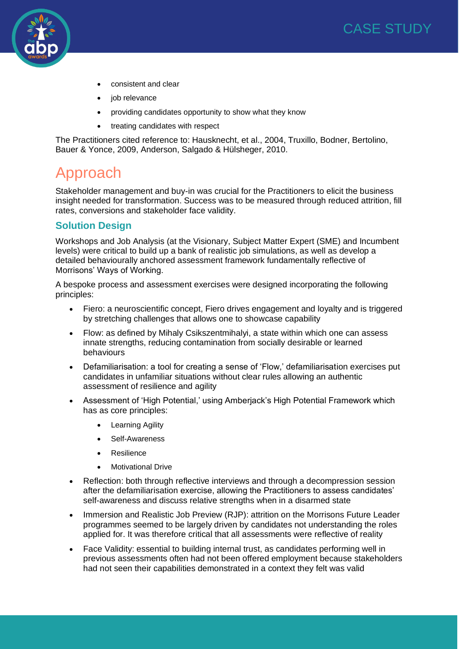

- consistent and clear
- job relevance
- providing candidates opportunity to show what they know
- treating candidates with respect

The Practitioners cited reference to: Hausknecht, et al., 2004, Truxillo, Bodner, Bertolino, Bauer & Yonce, 2009, Anderson, Salgado & Hülsheger, 2010.

# Approach

Stakeholder management and buy-in was crucial for the Practitioners to elicit the business insight needed for transformation. Success was to be measured through reduced attrition, fill rates, conversions and stakeholder face validity.

### **Solution Design**

Workshops and Job Analysis (at the Visionary, Subject Matter Expert (SME) and Incumbent levels) were critical to build up a bank of realistic job simulations, as well as develop a detailed behaviourally anchored assessment framework fundamentally reflective of Morrisons' Ways of Working.

A bespoke process and assessment exercises were designed incorporating the following principles:

- Fiero: a neuroscientific concept. Fiero drives engagement and loyalty and is triggered by stretching challenges that allows one to showcase capability
- Flow: as defined by Mihaly Csikszentmihalyi, a state within which one can assess innate strengths, reducing contamination from socially desirable or learned behaviours
- Defamiliarisation: a tool for creating a sense of 'Flow,' defamiliarisation exercises put candidates in unfamiliar situations without clear rules allowing an authentic assessment of resilience and agility
- Assessment of 'High Potential,' using Amberjack's High Potential Framework which has as core principles:
	- **Learning Agility**
	- Self-Awareness
	- Resilience
	- Motivational Drive
- Reflection: both through reflective interviews and through a decompression session after the defamiliarisation exercise, allowing the Practitioners to assess candidates' self-awareness and discuss relative strengths when in a disarmed state
- Immersion and Realistic Job Preview (RJP): attrition on the Morrisons Future Leader programmes seemed to be largely driven by candidates not understanding the roles applied for. It was therefore critical that all assessments were reflective of reality
- Face Validity: essential to building internal trust, as candidates performing well in previous assessments often had not been offered employment because stakeholders had not seen their capabilities demonstrated in a context they felt was valid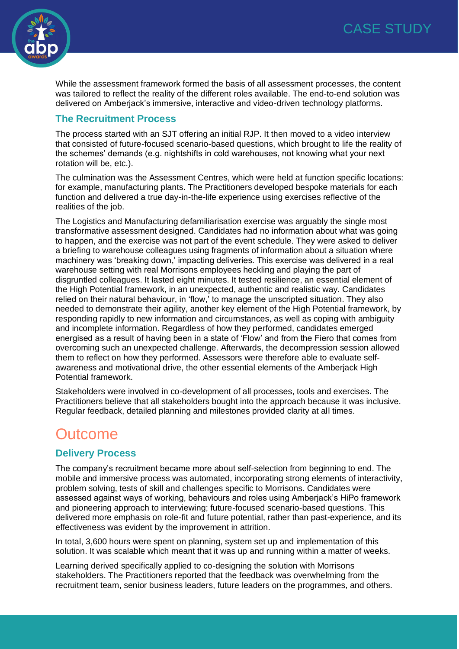



While the assessment framework formed the basis of all assessment processes, the content was tailored to reflect the reality of the different roles available. The end-to-end solution was delivered on Amberjack's immersive, interactive and video-driven technology platforms.

### **The Recruitment Process**

The process started with an SJT offering an initial RJP. It then moved to a video interview that consisted of future-focused scenario-based questions, which brought to life the reality of the schemes' demands (e.g. nightshifts in cold warehouses, not knowing what your next rotation will be, etc.).

The culmination was the Assessment Centres, which were held at function specific locations: for example, manufacturing plants. The Practitioners developed bespoke materials for each function and delivered a true day-in-the-life experience using exercises reflective of the realities of the job.

The Logistics and Manufacturing defamiliarisation exercise was arguably the single most transformative assessment designed. Candidates had no information about what was going to happen, and the exercise was not part of the event schedule. They were asked to deliver a briefing to warehouse colleagues using fragments of information about a situation where machinery was 'breaking down,' impacting deliveries. This exercise was delivered in a real warehouse setting with real Morrisons employees heckling and playing the part of disgruntled colleagues. It lasted eight minutes. It tested resilience, an essential element of the High Potential framework, in an unexpected, authentic and realistic way. Candidates relied on their natural behaviour, in 'flow,' to manage the unscripted situation. They also needed to demonstrate their agility, another key element of the High Potential framework, by responding rapidly to new information and circumstances, as well as coping with ambiguity and incomplete information. Regardless of how they performed, candidates emerged energised as a result of having been in a state of 'Flow' and from the Fiero that comes from overcoming such an unexpected challenge. Afterwards, the decompression session allowed them to reflect on how they performed. Assessors were therefore able to evaluate selfawareness and motivational drive, the other essential elements of the Amberjack High Potential framework.

Stakeholders were involved in co-development of all processes, tools and exercises. The Practitioners believe that all stakeholders bought into the approach because it was inclusive. Regular feedback, detailed planning and milestones provided clarity at all times.

### **Outcome**

### **Delivery Process**

The company's recruitment became more about self-selection from beginning to end. The mobile and immersive process was automated, incorporating strong elements of interactivity, problem solving, tests of skill and challenges specific to Morrisons. Candidates were assessed against ways of working, behaviours and roles using Amberjack's HiPo framework and pioneering approach to interviewing; future-focused scenario-based questions. This delivered more emphasis on role-fit and future potential, rather than past-experience, and its effectiveness was evident by the improvement in attrition.

In total, 3,600 hours were spent on planning, system set up and implementation of this solution. It was scalable which meant that it was up and running within a matter of weeks.

Learning derived specifically applied to co-designing the solution with Morrisons stakeholders. The Practitioners reported that the feedback was overwhelming from the recruitment team, senior business leaders, future leaders on the programmes, and others.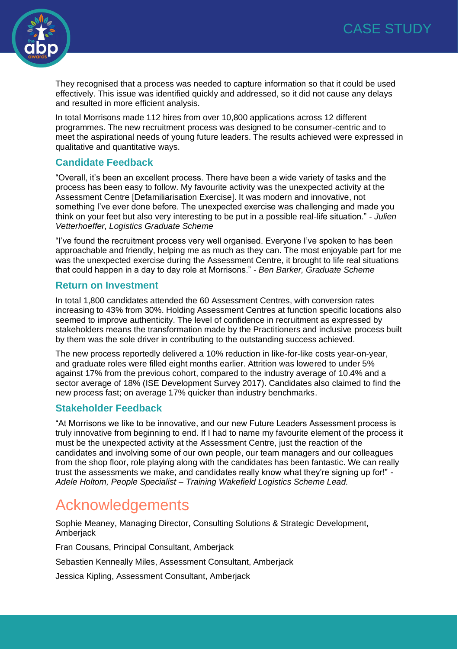

They recognised that a process was needed to capture information so that it could be used effectively. This issue was identified quickly and addressed, so it did not cause any delays and resulted in more efficient analysis.

In total Morrisons made 112 hires from over 10,800 applications across 12 different programmes. The new recruitment process was designed to be consumer-centric and to meet the aspirational needs of young future leaders. The results achieved were expressed in qualitative and quantitative ways.

### **Candidate Feedback**

"Overall, it's been an excellent process. There have been a wide variety of tasks and the process has been easy to follow. My favourite activity was the unexpected activity at the Assessment Centre [Defamiliarisation Exercise]. It was modern and innovative, not something I've ever done before. The unexpected exercise was challenging and made you think on your feet but also very interesting to be put in a possible real-life situation." *- Julien Vetterhoeffer, Logistics Graduate Scheme*

"I've found the recruitment process very well organised. Everyone I've spoken to has been approachable and friendly, helping me as much as they can. The most enjoyable part for me was the unexpected exercise during the Assessment Centre, it brought to life real situations that could happen in a day to day role at Morrisons." *- Ben Barker, Graduate Scheme*

#### **Return on Investment**

In total 1,800 candidates attended the 60 Assessment Centres, with conversion rates increasing to 43% from 30%. Holding Assessment Centres at function specific locations also seemed to improve authenticity. The level of confidence in recruitment as expressed by stakeholders means the transformation made by the Practitioners and inclusive process built by them was the sole driver in contributing to the outstanding success achieved.

The new process reportedly delivered a 10% reduction in like-for-like costs year-on-year, and graduate roles were filled eight months earlier. Attrition was lowered to under 5% against 17% from the previous cohort, compared to the industry average of 10.4% and a sector average of 18% (ISE Development Survey 2017). Candidates also claimed to find the new process fast; on average 17% quicker than industry benchmarks.

#### **Stakeholder Feedback**

"At Morrisons we like to be innovative, and our new Future Leaders Assessment process is truly innovative from beginning to end. If I had to name my favourite element of the process it must be the unexpected activity at the Assessment Centre, just the reaction of the candidates and involving some of our own people, our team managers and our colleagues from the shop floor, role playing along with the candidates has been fantastic. We can really trust the assessments we make, and candidates really know what they're signing up for!" *- Adele Holtom, People Specialist – Training Wakefield Logistics Scheme Lead.*

### Acknowledgements

Sophie Meaney, Managing Director, Consulting Solutions & Strategic Development, Amberjack

Fran Cousans, Principal Consultant, Amberjack

Sebastien Kenneally Miles, Assessment Consultant, Amberjack

Jessica Kipling, Assessment Consultant, Amberjack